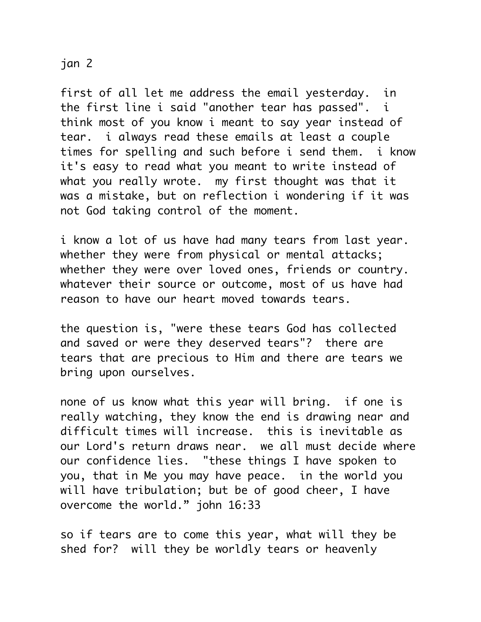## jan 2

first of all let me address the email yesterday. in the first line i said "another tear has passed". i think most of you know i meant to say year instead of tear. i always read these emails at least a couple times for spelling and such before i send them. i know it's easy to read what you meant to write instead of what you really wrote. my first thought was that it was a mistake, but on reflection i wondering if it was not God taking control of the moment.

i know a lot of us have had many tears from last year. whether they were from physical or mental attacks; whether they were over loved ones, friends or country. whatever their source or outcome, most of us have had reason to have our heart moved towards tears.

the question is, "were these tears God has collected and saved or were they deserved tears"? there are tears that are precious to Him and there are tears we bring upon ourselves.

none of us know what this year will bring. if one is really watching, they know the end is drawing near and difficult times will increase. this is inevitable as our Lord's return draws near. we all must decide where our confidence lies. "these things I have spoken to you, that in Me you may have peace. in the world you will have tribulation; but be of good cheer, I have overcome the world." john 16:33

so if tears are to come this year, what will they be shed for? will they be worldly tears or heavenly